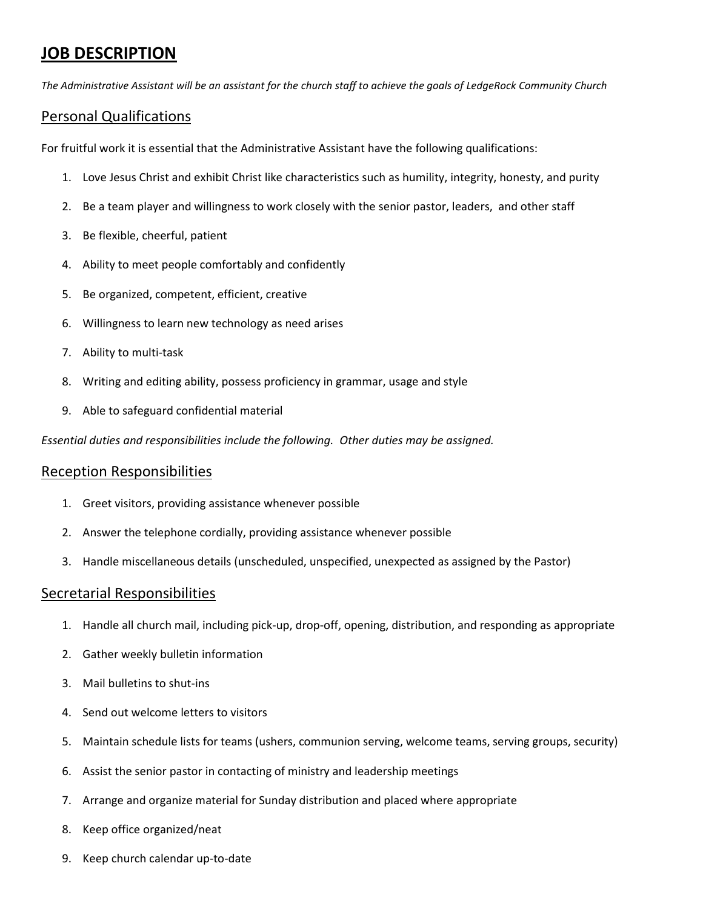# **JOB DESCRIPTION**

*The Administrative Assistant will be an assistant for the church staff to achieve the goals of LedgeRock Community Church*

# Personal Qualifications

For fruitful work it is essential that the Administrative Assistant have the following qualifications:

- 1. Love Jesus Christ and exhibit Christ like characteristics such as humility, integrity, honesty, and purity
- 2. Be a team player and willingness to work closely with the senior pastor, leaders, and other staff
- 3. Be flexible, cheerful, patient
- 4. Ability to meet people comfortably and confidently
- 5. Be organized, competent, efficient, creative
- 6. Willingness to learn new technology as need arises
- 7. Ability to multi-task
- 8. Writing and editing ability, possess proficiency in grammar, usage and style
- 9. Able to safeguard confidential material

*Essential duties and responsibilities include the following. Other duties may be assigned.*

## Reception Responsibilities

- 1. Greet visitors, providing assistance whenever possible
- 2. Answer the telephone cordially, providing assistance whenever possible
- 3. Handle miscellaneous details (unscheduled, unspecified, unexpected as assigned by the Pastor)

## Secretarial Responsibilities

- 1. Handle all church mail, including pick-up, drop-off, opening, distribution, and responding as appropriate
- 2. Gather weekly bulletin information
- 3. Mail bulletins to shut-ins
- 4. Send out welcome letters to visitors
- 5. Maintain schedule lists for teams (ushers, communion serving, welcome teams, serving groups, security)
- 6. Assist the senior pastor in contacting of ministry and leadership meetings
- 7. Arrange and organize material for Sunday distribution and placed where appropriate
- 8. Keep office organized/neat
- 9. Keep church calendar up-to-date